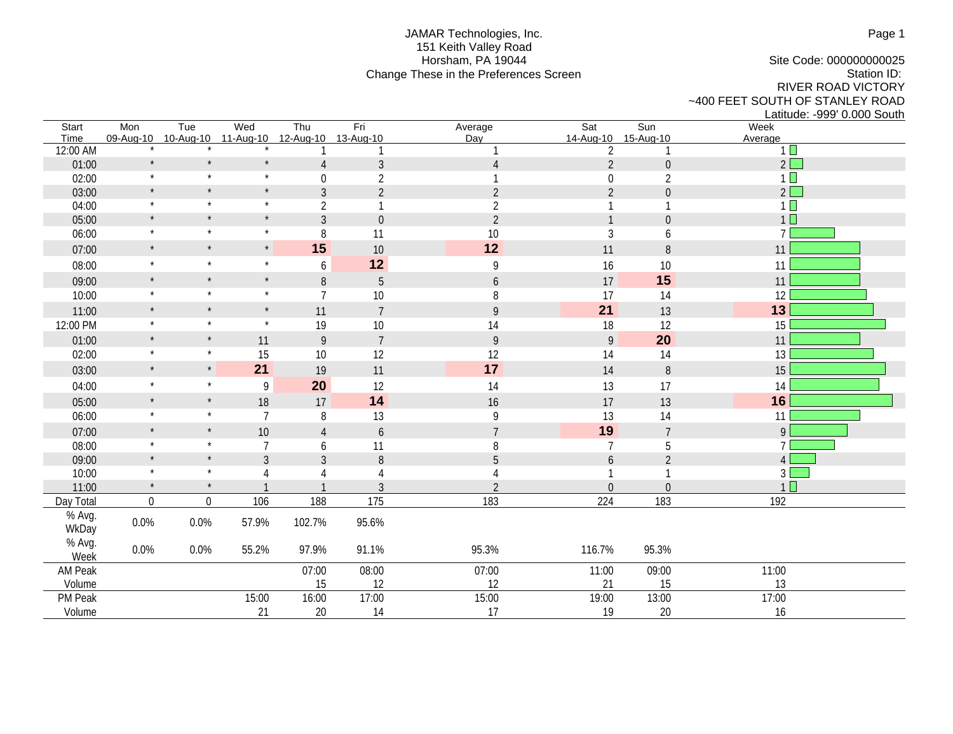## JAMAR Technologies, Inc. 151 Keith Valley Road Horsham, PA 19044 Change These in the Preferences Screen

Site Code: 000000000025 Station ID: RIVER ROAD VICTORY ~400 FEET SOUTH OF STANLEY ROAD Latitude: -999' 0.000 South

| Start<br>Time     | Mon<br>09-Aug-10 | Tue<br>10-Aug-10 | Wed<br>11-Aug-10 | Thu              | Fri                       | Average          | Sat<br>14-Aug-10 | $\overline{\text{Sun}}$   | Week                   |
|-------------------|------------------|------------------|------------------|------------------|---------------------------|------------------|------------------|---------------------------|------------------------|
| 12:00 AM          |                  |                  |                  | 12-Aug-10        | 13-Aug-10<br>$\mathbf{1}$ | Day              | $\overline{2}$   | 15-Aug-10<br>$\mathbf{1}$ | Average<br>$1 \square$ |
| 01:00             | $\star$          | $\star$          | $\star$          | $\overline{4}$   | $\mathfrak{Z}$            | $\overline{4}$   | $\overline{2}$   | $\boldsymbol{0}$          | $2\Box$                |
| 02:00             | $\star$          | $\star$          | $\star$          | $\boldsymbol{0}$ | $\overline{2}$            |                  | $\boldsymbol{0}$ | $\sqrt{2}$                | $1\Box$                |
| 03:00             | $\star$          | $\star$          | $\star$          | $\mathfrak{Z}$   | $\overline{2}$            | $\overline{2}$   | $\overline{2}$   | $\boldsymbol{0}$          | $2\square$             |
| 04:00             | $\star$          | $\star$          | $\star$          | $\overline{2}$   | 1                         | $\overline{2}$   |                  | 1                         | $1\Box$                |
| 05:00             | $\star$          | $\star$          | $\star$          | $\mathfrak{Z}$   | $\mathbf 0$               | $\overline{2}$   |                  | $\boldsymbol{0}$          | 1 <sup>1</sup>         |
| 06:00             | $\star$          | $\star$          | $\star$          | 8                | 11                        | 10               | $\mathfrak{Z}$   | 6                         | $\overline{7}$         |
| 07:00             | $\star$          | $\star$          | $\star$          | 15               | 10                        | 12               | 11               | $\, 8$                    | 11                     |
| 08:00             | $\star$          | $\star$          | $\star$          | $\boldsymbol{6}$ | 12                        | 9                | 16               | 10                        | 11                     |
| 09:00             | $\star$          | $\star$          | $\star$          | $\, 8$           | $\overline{5}$            | $\mathfrak b$    | 17               | 15                        | 11                     |
| 10:00             | $\star$          | $\star$          | $\star$          | $\overline{7}$   | 10                        | 8                | 17               | 14                        | 12                     |
| 11:00             | $\star$          | $\star$          | $\star$          | 11               | $\overline{7}$            | $\overline{9}$   | 21               | 13                        | 13                     |
| 12:00 PM          | $\star$          | $\star$          | $\star$          | 19               | 10                        | 14               | 18               | 12                        | 15                     |
| 01:00             | $\star$          | $\star$          | 11               | $\mathsf{9}$     | $\overline{7}$            | $\boldsymbol{9}$ | $\mathsf{q}$     | 20                        | 11                     |
| 02:00             | $\star$          | $\star$          | 15               | $10\,$           | 12                        | 12               | 14               | 14                        | 13                     |
| 03:00             | $\star$          | $\star$          | 21               | 19               | 11                        | 17               | 14               | $\, 8$                    | 15                     |
| 04:00             | $\star$          | $\star$          | $\boldsymbol{9}$ | 20               | 12                        | 14               | 13               | 17                        | 14                     |
| 05:00             | $\star$          | $^\star$         | 18               | 17               | 14                        | 16               | 17               | 13                        | 16                     |
| 06:00             | $\star$          | $\star$          | $\overline{7}$   | 8                | 13                        | 9                | 13               | 14                        | 11                     |
| 07:00             | $\star$          | $\star$          | 10               | $\overline{4}$   | $\boldsymbol{6}$          | $\overline{7}$   | 19               | $\overline{7}$            | 9                      |
| 08:00             | $\star$          | $\star$          | $\overline{7}$   | 6                | 11                        | 8                | $\overline{7}$   | 5                         | $\overline{7}$         |
| 09:00             | $\star$          | $\star$          | $\mathfrak{Z}$   | $\mathfrak{Z}$   | 8                         | 5                | 6                | $\overline{2}$            | $\overline{4}$         |
| 10:00             | $\star$          | $\star$          | 4                | $\overline{4}$   |                           | 4                |                  | 1                         | 3 <sup>1</sup>         |
| 11:00             | $\star$          | $\star$          |                  |                  | 3                         | $\overline{2}$   | $\boldsymbol{0}$ | $\boldsymbol{0}$          | 1 <sup>2</sup>         |
| Day Total         | $\mathbf 0$      | $\boldsymbol{0}$ | 106              | 188              | 175                       | 183              | 224              | 183                       | 192                    |
| % Avg.            | 0.0%             | 0.0%             | 57.9%            | 102.7%           | 95.6%                     |                  |                  |                           |                        |
| WkDay             |                  |                  |                  |                  |                           |                  |                  |                           |                        |
| % Avg.            | 0.0%             | 0.0%             | 55.2%            | 97.9%            | 91.1%                     | 95.3%            | 116.7%           | 95.3%                     |                        |
| Week              |                  |                  |                  |                  |                           |                  |                  |                           |                        |
| AM Peak<br>Volume |                  |                  |                  | 07:00<br>15      | 08:00<br>12               | 07:00<br>12      | 11:00            | 09:00<br>15               | 11:00<br>13            |
| PM Peak           |                  |                  | 15:00            | 16:00            | 17:00                     |                  | 21<br>19:00      | 13:00                     | 17:00                  |
| Volume            |                  |                  | 21               | 20               | 14                        | 15:00<br>17      | 19               | $20\,$                    | 16                     |
|                   |                  |                  |                  |                  |                           |                  |                  |                           |                        |

Page 1